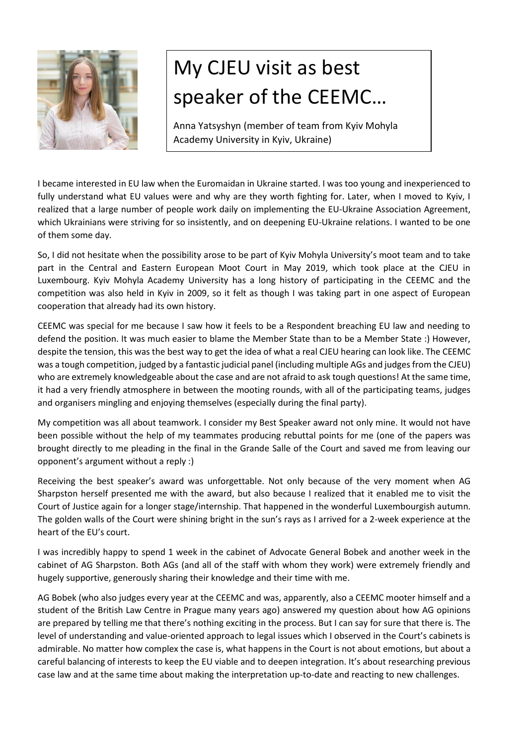

## My CJEU visit as best speaker of the CEEMC…

Anna Yatsyshyn (member of team from Kyiv Mohyla Academy University in Kyiv, Ukraine)

I became interested in EU law when the Euromaidan in Ukraine started. I was too young and inexperienced to fully understand what EU values were and why are they worth fighting for. Later, when I moved to Kyiv, I realized that a large number of people work daily on implementing the EU-Ukraine Association Agreement, which Ukrainians were striving for so insistently, and on deepening EU-Ukraine relations. I wanted to be one of them some day.

So, I did not hesitate when the possibility arose to be part of Kyiv Mohyla University's moot team and to take part in the Central and Eastern European Moot Court in May 2019, which took place at the CJEU in Luxembourg. Kyiv Mohyla Academy University has a long history of participating in the CEEMC and the competition was also held in Kyiv in 2009, so it felt as though I was taking part in one aspect of European cooperation that already had its own history.

CEEMC was special for me because I saw how it feels to be a Respondent breaching EU law and needing to defend the position. It was much easier to blame the Member State than to be a Member State :) However, despite the tension, this was the best way to get the idea of what a real CJEU hearing can look like. The CEEMC was a tough competition, judged by a fantastic judicial panel (including multiple AGs and judges from the CJEU) who are extremely knowledgeable about the case and are not afraid to ask tough questions! At the same time, it had a very friendly atmosphere in between the mooting rounds, with all of the participating teams, judges and organisers mingling and enjoying themselves (especially during the final party).

My competition was all about teamwork. I consider my Best Speaker award not only mine. It would not have been possible without the help of my teammates producing rebuttal points for me (one of the papers was brought directly to me pleading in the final in the Grande Salle of the Court and saved me from leaving our opponent's argument without a reply :)

Receiving the best speaker's award was unforgettable. Not only because of the very moment when AG Sharpston herself presented me with the award, but also because I realized that it enabled me to visit the Court of Justice again for a longer stage/internship. That happened in the wonderful Luxembourgish autumn. The golden walls of the Court were shining bright in the sun's rays as I arrived for a 2-week experience at the heart of the EU's court.

I was incredibly happy to spend 1 week in the cabinet of Advocate General Bobek and another week in the cabinet of AG Sharpston. Both AGs (and all of the staff with whom they work) were extremely friendly and hugely supportive, generously sharing their knowledge and their time with me.

AG Bobek (who also judges every year at the CEEMC and was, apparently, also a CEEMC mooter himself and a student of the British Law Centre in Prague many years ago) answered my question about how AG opinions are prepared by telling me that there's nothing exciting in the process. But I can say for sure that there is. The level of understanding and value-oriented approach to legal issues which I observed in the Court's cabinets is admirable. No matter how complex the case is, what happens in the Court is not about emotions, but about a careful balancing of interests to keep the EU viable and to deepen integration. It's about researching previous case law and at the same time about making the interpretation up-to-date and reacting to new challenges.